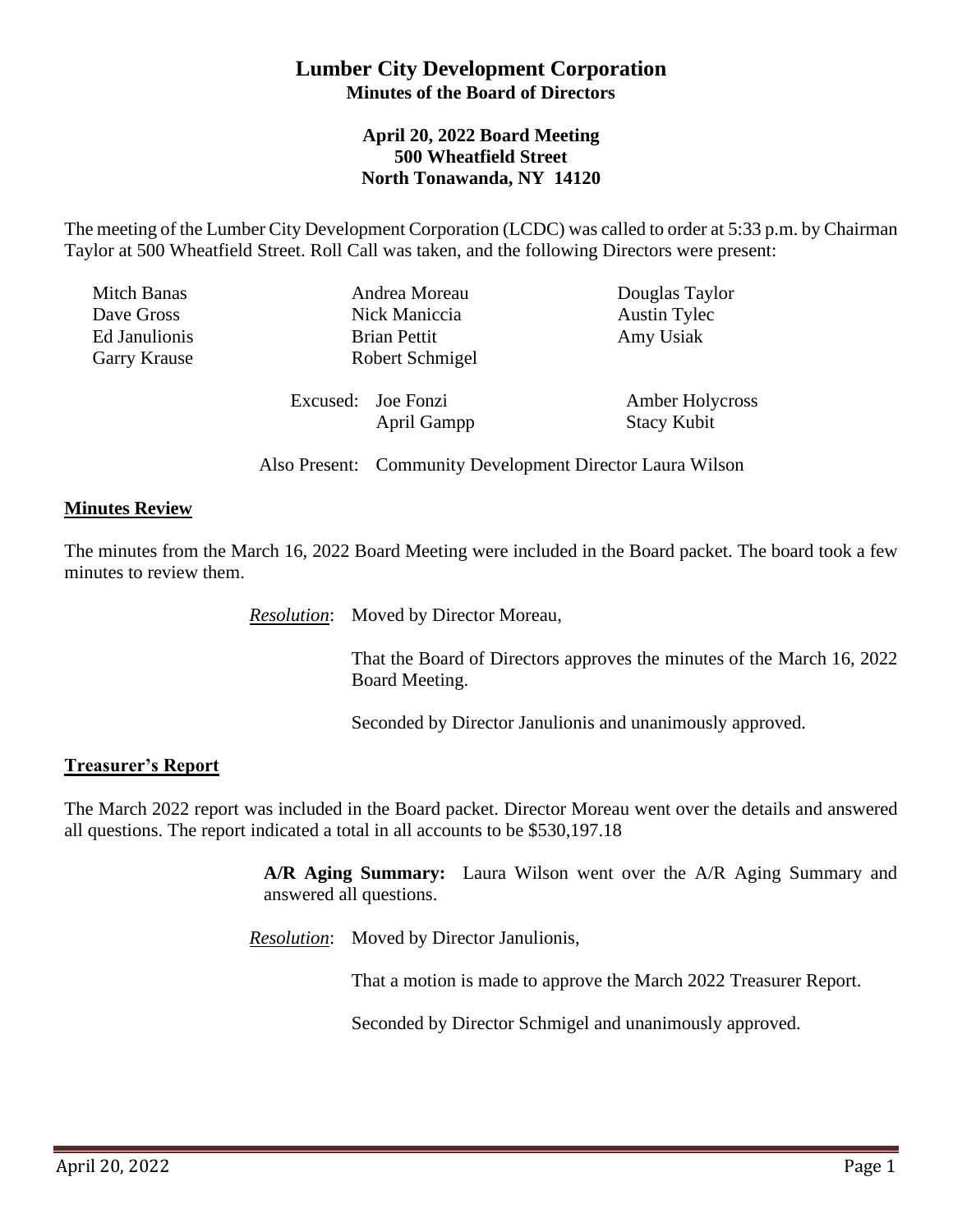## **Lumber City Development Corporation Minutes of the Board of Directors**

### **April 20, 2022 Board Meeting 500 Wheatfield Street North Tonawanda, NY 14120**

The meeting of the Lumber City Development Corporation (LCDC) was called to order at 5:33 p.m. by Chairman Taylor at 500 Wheatfield Street. Roll Call was taken, and the following Directors were present:

| Mitch Banas<br>Dave Gross<br>Ed Janulionis<br><b>Garry Krause</b> | Andrea Moreau<br>Nick Maniccia<br><b>Brian Pettit</b><br>Robert Schmigel | Douglas Taylor<br><b>Austin Tylec</b><br>Amy Usiak |
|-------------------------------------------------------------------|--------------------------------------------------------------------------|----------------------------------------------------|
|                                                                   | Excused: Joe Fonzi<br>April Gampp                                        | Amber Holycross<br><b>Stacy Kubit</b>              |

Also Present: Community Development Director Laura Wilson

#### **Minutes Review**

The minutes from the March 16, 2022 Board Meeting were included in the Board packet. The board took a few minutes to review them.

*Resolution*: Moved by Director Moreau,

That the Board of Directors approves the minutes of the March 16, 2022 Board Meeting.

Seconded by Director Janulionis and unanimously approved.

#### **Treasurer's Report**

The March 2022 report was included in the Board packet. Director Moreau went over the details and answered all questions. The report indicated a total in all accounts to be \$530,197.18

> **A/R Aging Summary:** Laura Wilson went over the A/R Aging Summary and answered all questions.

*Resolution*: Moved by Director Janulionis,

That a motion is made to approve the March 2022 Treasurer Report.

Seconded by Director Schmigel and unanimously approved.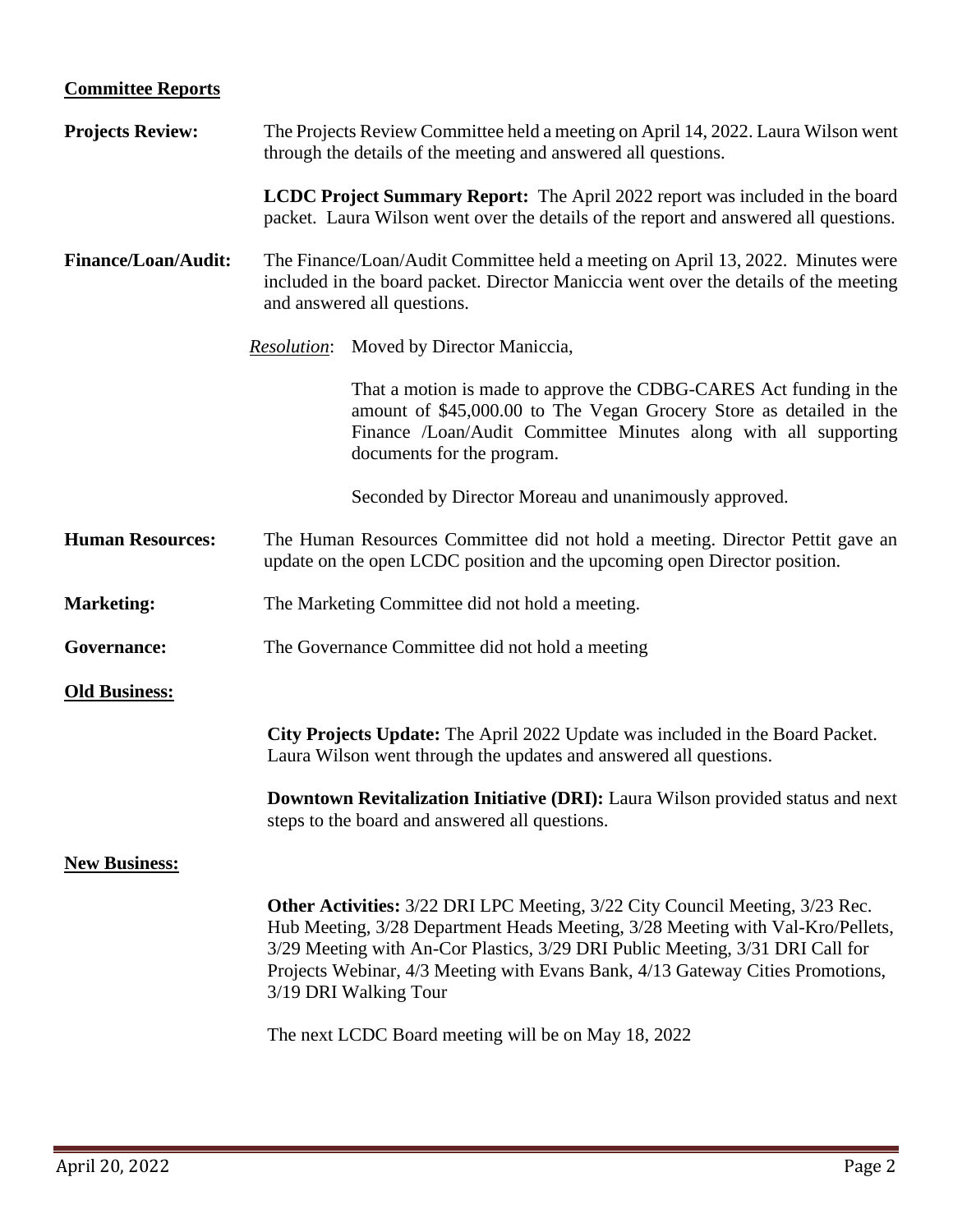# **Committee Reports**

| <b>Projects Review:</b>    | The Projects Review Committee held a meeting on April 14, 2022. Laura Wilson went<br>through the details of the meeting and answered all questions.                                                                                                                                                                                                               |  |
|----------------------------|-------------------------------------------------------------------------------------------------------------------------------------------------------------------------------------------------------------------------------------------------------------------------------------------------------------------------------------------------------------------|--|
|                            | LCDC Project Summary Report: The April 2022 report was included in the board<br>packet. Laura Wilson went over the details of the report and answered all questions.                                                                                                                                                                                              |  |
| <b>Finance/Loan/Audit:</b> | The Finance/Loan/Audit Committee held a meeting on April 13, 2022. Minutes were<br>included in the board packet. Director Maniccia went over the details of the meeting<br>and answered all questions.                                                                                                                                                            |  |
|                            | Moved by Director Maniccia,<br><i>Resolution:</i>                                                                                                                                                                                                                                                                                                                 |  |
|                            | That a motion is made to approve the CDBG-CARES Act funding in the<br>amount of \$45,000.00 to The Vegan Grocery Store as detailed in the<br>Finance /Loan/Audit Committee Minutes along with all supporting<br>documents for the program.                                                                                                                        |  |
|                            | Seconded by Director Moreau and unanimously approved.                                                                                                                                                                                                                                                                                                             |  |
| <b>Human Resources:</b>    | The Human Resources Committee did not hold a meeting. Director Pettit gave an<br>update on the open LCDC position and the upcoming open Director position.                                                                                                                                                                                                        |  |
| <b>Marketing:</b>          | The Marketing Committee did not hold a meeting.                                                                                                                                                                                                                                                                                                                   |  |
| Governance:                | The Governance Committee did not hold a meeting                                                                                                                                                                                                                                                                                                                   |  |
| <b>Old Business:</b>       |                                                                                                                                                                                                                                                                                                                                                                   |  |
|                            | City Projects Update: The April 2022 Update was included in the Board Packet.<br>Laura Wilson went through the updates and answered all questions.                                                                                                                                                                                                                |  |
|                            | <b>Downtown Revitalization Initiative (DRI):</b> Laura Wilson provided status and next<br>steps to the board and answered all questions.                                                                                                                                                                                                                          |  |
| <b>New Business:</b>       |                                                                                                                                                                                                                                                                                                                                                                   |  |
|                            | <b>Other Activities:</b> 3/22 DRI LPC Meeting, 3/22 City Council Meeting, 3/23 Rec.<br>Hub Meeting, 3/28 Department Heads Meeting, 3/28 Meeting with Val-Kro/Pellets,<br>3/29 Meeting with An-Cor Plastics, 3/29 DRI Public Meeting, 3/31 DRI Call for<br>Projects Webinar, 4/3 Meeting with Evans Bank, 4/13 Gateway Cities Promotions,<br>3/19 DRI Walking Tour |  |
|                            | The next LCDC Board meeting will be on May 18, 2022                                                                                                                                                                                                                                                                                                               |  |